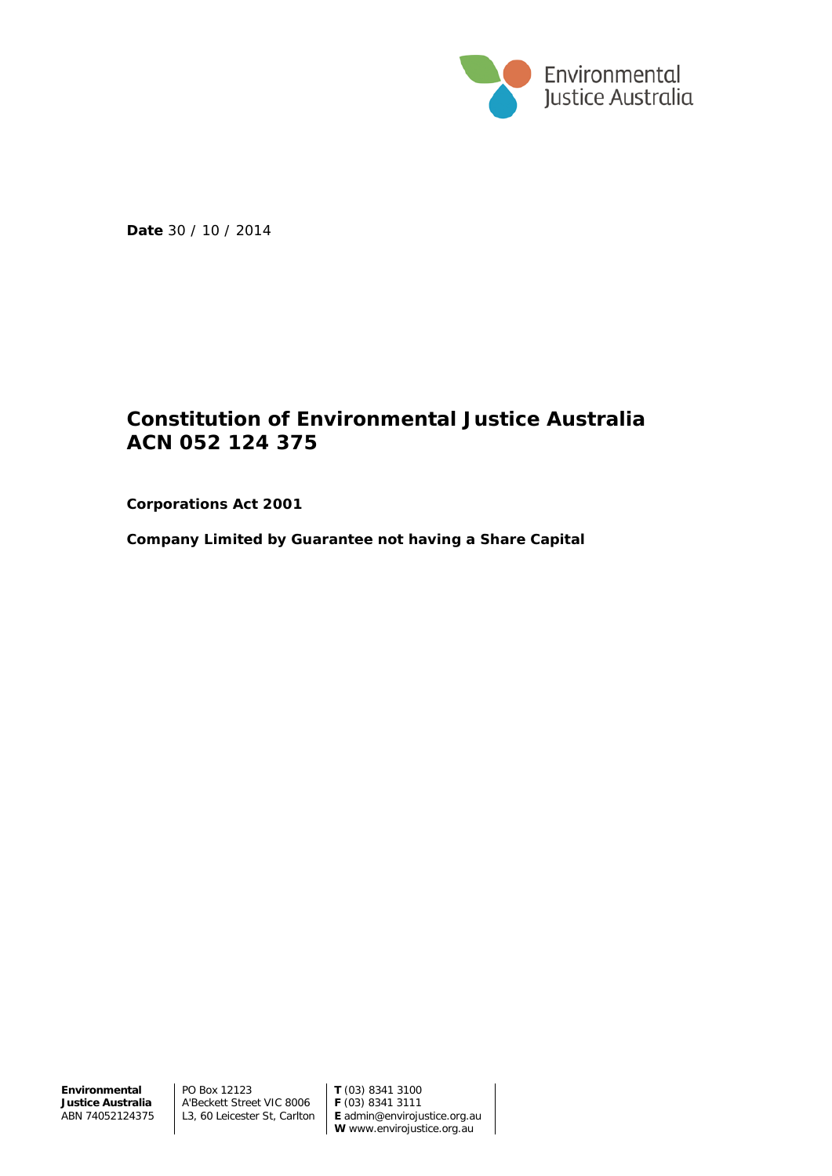

**Date** 30 / 10 / 2014

# **Constitution of Environmental Justice Australia ACN 052 124 375**

**Corporations Act 2001**

**Company Limited by Guarantee not having a Share Capital**

**Environmental Justice Australia** ABN 74052124375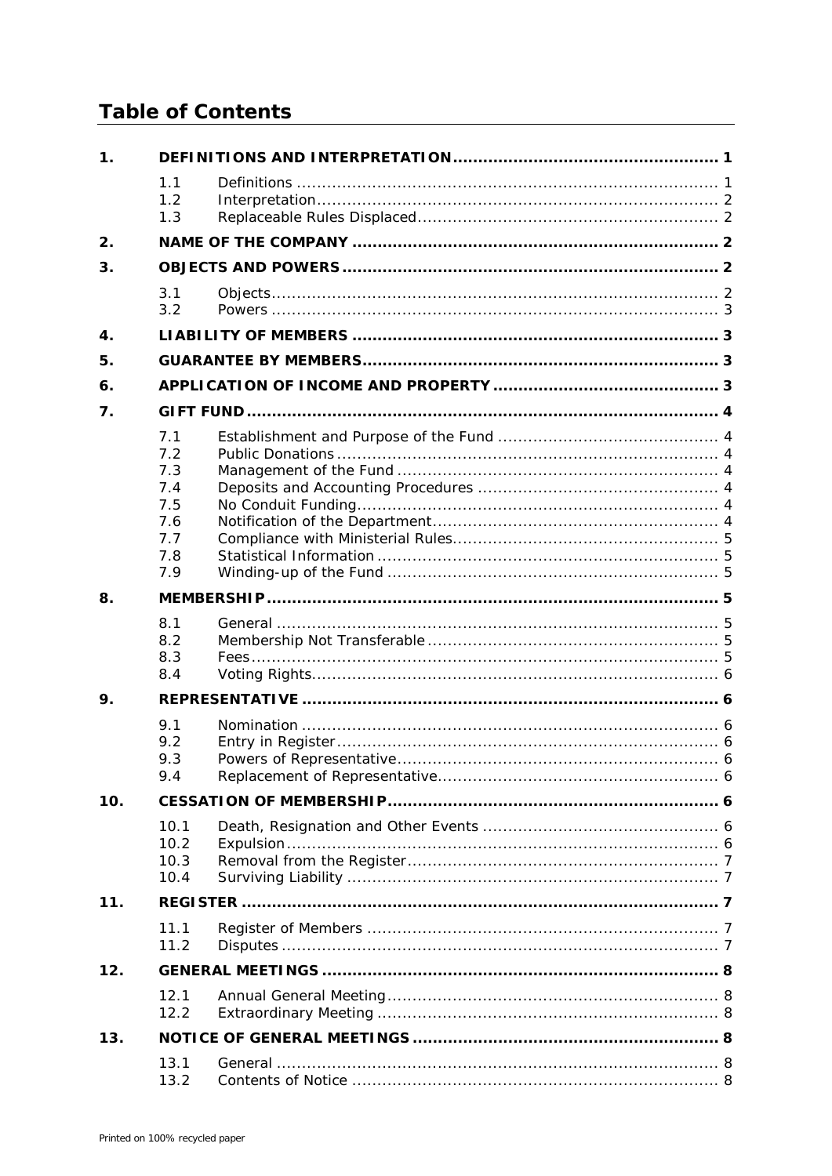# **Table of Contents**

| $\mathbf 1$ . |                                                             |  |  |  |  |  |
|---------------|-------------------------------------------------------------|--|--|--|--|--|
|               | 1.1<br>1.2<br>1.3                                           |  |  |  |  |  |
| 2.            |                                                             |  |  |  |  |  |
| 3.            |                                                             |  |  |  |  |  |
|               | 3.1<br>3.2                                                  |  |  |  |  |  |
| 4.            |                                                             |  |  |  |  |  |
| 5.            |                                                             |  |  |  |  |  |
| 6.            |                                                             |  |  |  |  |  |
| 7.            |                                                             |  |  |  |  |  |
|               | 7.1<br>7.2<br>7.3<br>7.4<br>7.5<br>7.6<br>7.7<br>7.8<br>7.9 |  |  |  |  |  |
| 8.            |                                                             |  |  |  |  |  |
|               | 8.1<br>8.2<br>8.3<br>8.4                                    |  |  |  |  |  |
| 9.            |                                                             |  |  |  |  |  |
|               | 9.1<br>9.2<br>9.3<br>9.4                                    |  |  |  |  |  |
| 10.           |                                                             |  |  |  |  |  |
|               | 10.1<br>10.2<br>10.3<br>10.4                                |  |  |  |  |  |
| 11.           |                                                             |  |  |  |  |  |
|               | 11.1<br>11.2                                                |  |  |  |  |  |
| 12.           |                                                             |  |  |  |  |  |
|               | 12.1<br>12.2                                                |  |  |  |  |  |
| 13.           |                                                             |  |  |  |  |  |
|               | 13.1<br>13.2                                                |  |  |  |  |  |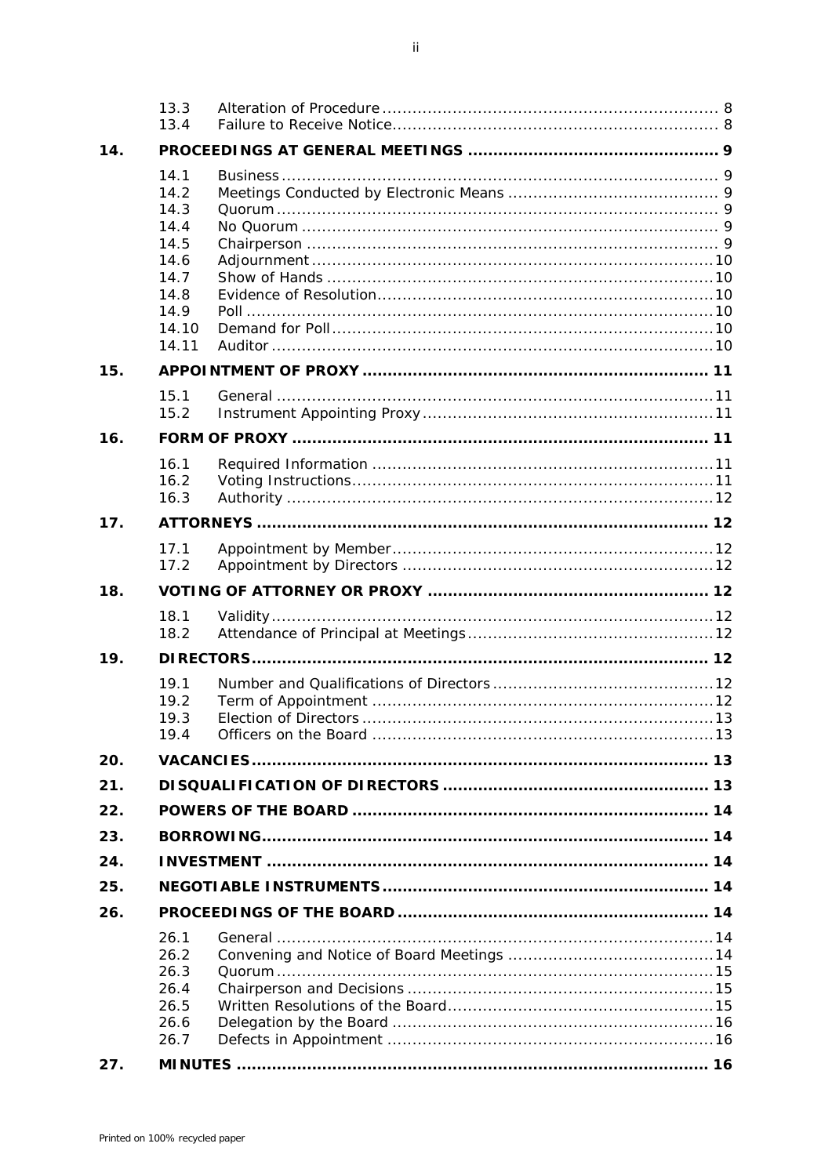|     | 13.3<br>13.4                                                                           |  |  |  |  |
|-----|----------------------------------------------------------------------------------------|--|--|--|--|
| 14. |                                                                                        |  |  |  |  |
|     | 14.1<br>14.2<br>14.3<br>14.4<br>14.5<br>14.6<br>14.7<br>14.8<br>14.9<br>14.10<br>14.11 |  |  |  |  |
| 15. |                                                                                        |  |  |  |  |
|     | 15.1<br>15.2                                                                           |  |  |  |  |
| 16. |                                                                                        |  |  |  |  |
|     | 16.1<br>16.2<br>16.3                                                                   |  |  |  |  |
| 17. |                                                                                        |  |  |  |  |
|     | 17.1<br>17.2                                                                           |  |  |  |  |
| 18. |                                                                                        |  |  |  |  |
|     | 18.1<br>18.2                                                                           |  |  |  |  |
| 19. |                                                                                        |  |  |  |  |
|     | 19.1<br>19.2<br>19.3<br>19.4                                                           |  |  |  |  |
| 20. |                                                                                        |  |  |  |  |
| 21. |                                                                                        |  |  |  |  |
| 22. |                                                                                        |  |  |  |  |
| 23. |                                                                                        |  |  |  |  |
| 24. |                                                                                        |  |  |  |  |
| 25. |                                                                                        |  |  |  |  |
| 26. |                                                                                        |  |  |  |  |
|     | 26.1<br>26.2<br>26.3<br>26.4<br>26.5<br>26.6<br>26.7                                   |  |  |  |  |
| 27. |                                                                                        |  |  |  |  |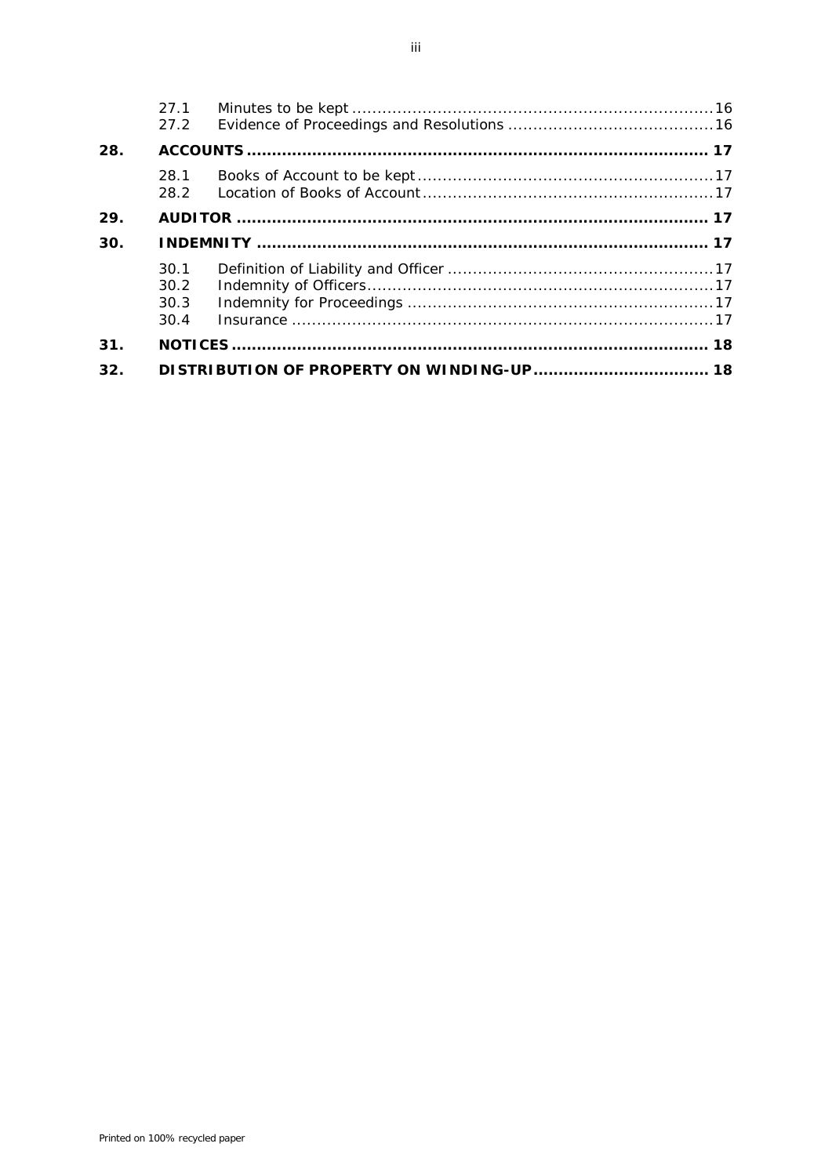|     | 27.1<br>27.2                 |  |  |
|-----|------------------------------|--|--|
| 28. |                              |  |  |
|     | 28.1<br>28.2                 |  |  |
| 29. |                              |  |  |
| 30. |                              |  |  |
|     | 30.1<br>30.2<br>30.3<br>30.4 |  |  |
| 31. |                              |  |  |
| 32. |                              |  |  |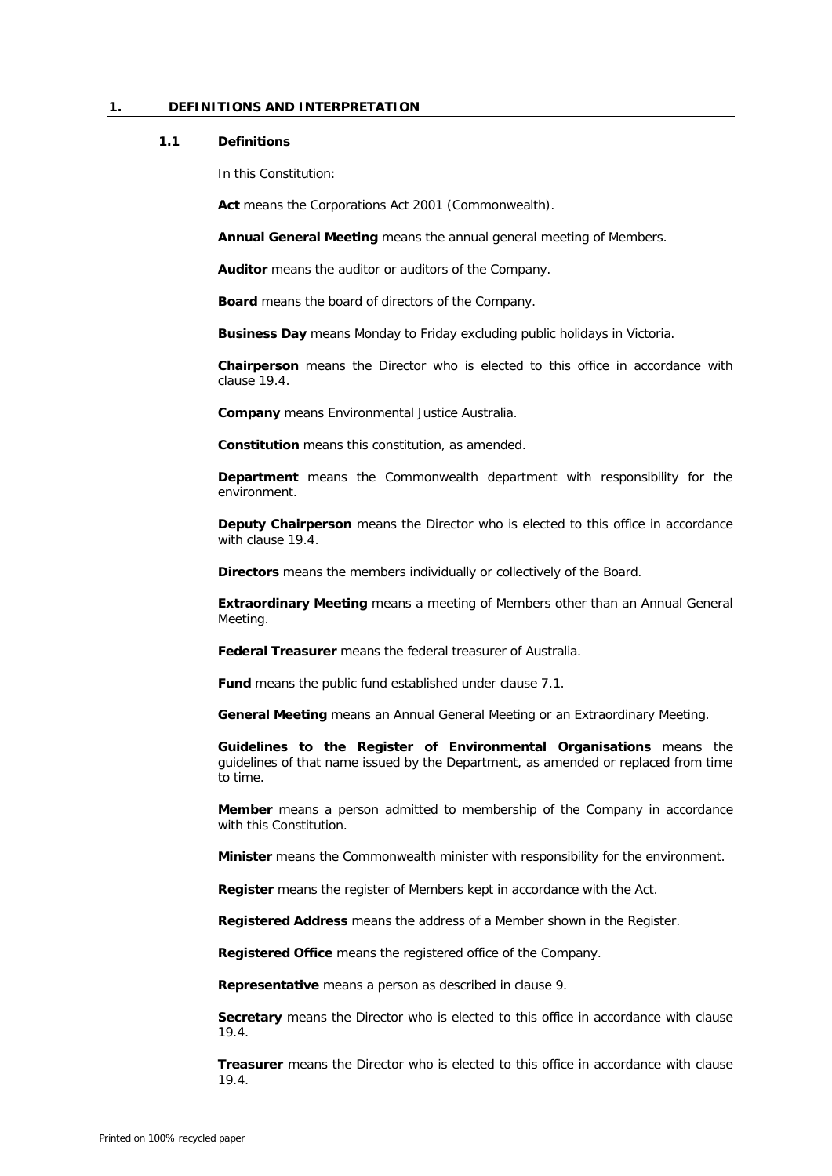# **1. DEFINITIONS AND INTERPRETATION**

#### **1.1 Definitions**

In this Constitution:

**Act** means the *Corporations Act 2001* (Commonwealth).

**Annual General Meeting** means the annual general meeting of Members.

**Auditor** means the auditor or auditors of the Company.

**Board** means the board of directors of the Company.

**Business Day** means Monday to Friday excluding public holidays in Victoria.

**Chairperson** means the Director who is elected to this office in accordance with clause [19.4.](#page-16-0)

**Company** means Environmental Justice Australia.

**Constitution** means this constitution, as amended.

**Department** means the Commonwealth department with responsibility for the environment.

**Deputy Chairperson** means the Director who is elected to this office in accordance with clause [19.4.](#page-16-0)

**Directors** means the members individually or collectively of the Board.

**Extraordinary Meeting** means a meeting of Members other than an Annual General Meeting.

**Federal Treasurer** means the federal treasurer of Australia.

**Fund** means the public fund established under clause [7.1.](#page-7-0)

**General Meeting** means an Annual General Meeting or an Extraordinary Meeting.

**Guidelines to the Register of Environmental Organisations** means the guidelines of that name issued by the Department, as amended or replaced from time to time.

**Member** means a person admitted to membership of the Company in accordance with this Constitution.

**Minister** means the Commonwealth minister with responsibility for the environment.

**Register** means the register of Members kept in accordance with the Act.

**Registered Address** means the address of a Member shown in the Register.

**Registered Office** means the registered office of the Company.

**Representative** means a person as described in claus[e 9.](#page-9-0)

**Secretary** means the Director who is elected to this office in accordance with clause [19.4.](#page-16-0)

**Treasurer** means the Director who is elected to this office in accordance with clause [19.4.](#page-16-0)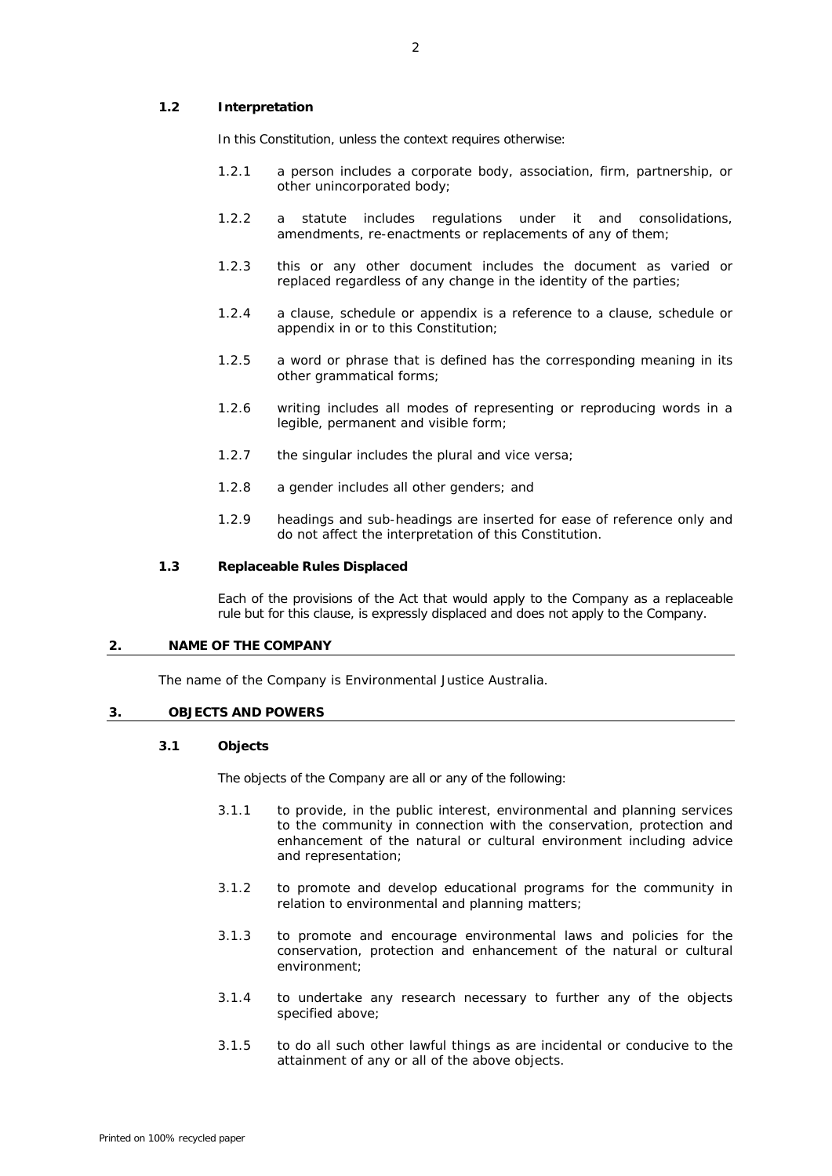# **1.2 Interpretation**

In this Constitution, unless the context requires otherwise:

- 1.2.1 a person includes a corporate body, association, firm, partnership, or other unincorporated body;
- 1.2.2 a statute includes regulations under it and consolidations, amendments, re-enactments or replacements of any of them;
- 1.2.3 this or any other document includes the document as varied or replaced regardless of any change in the identity of the parties;
- 1.2.4 a clause, schedule or appendix is a reference to a clause, schedule or appendix in or to this Constitution;
- 1.2.5 a word or phrase that is defined has the corresponding meaning in its other grammatical forms;
- 1.2.6 writing includes all modes of representing or reproducing words in a legible, permanent and visible form;
- 1.2.7 the singular includes the plural and vice versa;
- 1.2.8 a gender includes all other genders; and
- 1.2.9 headings and sub-headings are inserted for ease of reference only and do not affect the interpretation of this Constitution.

#### **1.3 Replaceable Rules Displaced**

Each of the provisions of the Act that would apply to the Company as a replaceable rule but for this clause, is expressly displaced and does not apply to the Company.

#### **2. NAME OF THE COMPANY**

The name of the Company is Environmental Justice Australia.

# **3. OBJECTS AND POWERS**

## **3.1 Objects**

The objects of the Company are all or any of the following:

- 3.1.1 to provide, in the public interest, environmental and planning services to the community in connection with the conservation, protection and enhancement of the natural or cultural environment including advice and representation;
- 3.1.2 to promote and develop educational programs for the community in relation to environmental and planning matters;
- 3.1.3 to promote and encourage environmental laws and policies for the conservation, protection and enhancement of the natural or cultural environment;
- 3.1.4 to undertake any research necessary to further any of the objects specified above;
- 3.1.5 to do all such other lawful things as are incidental or conducive to the attainment of any or all of the above objects.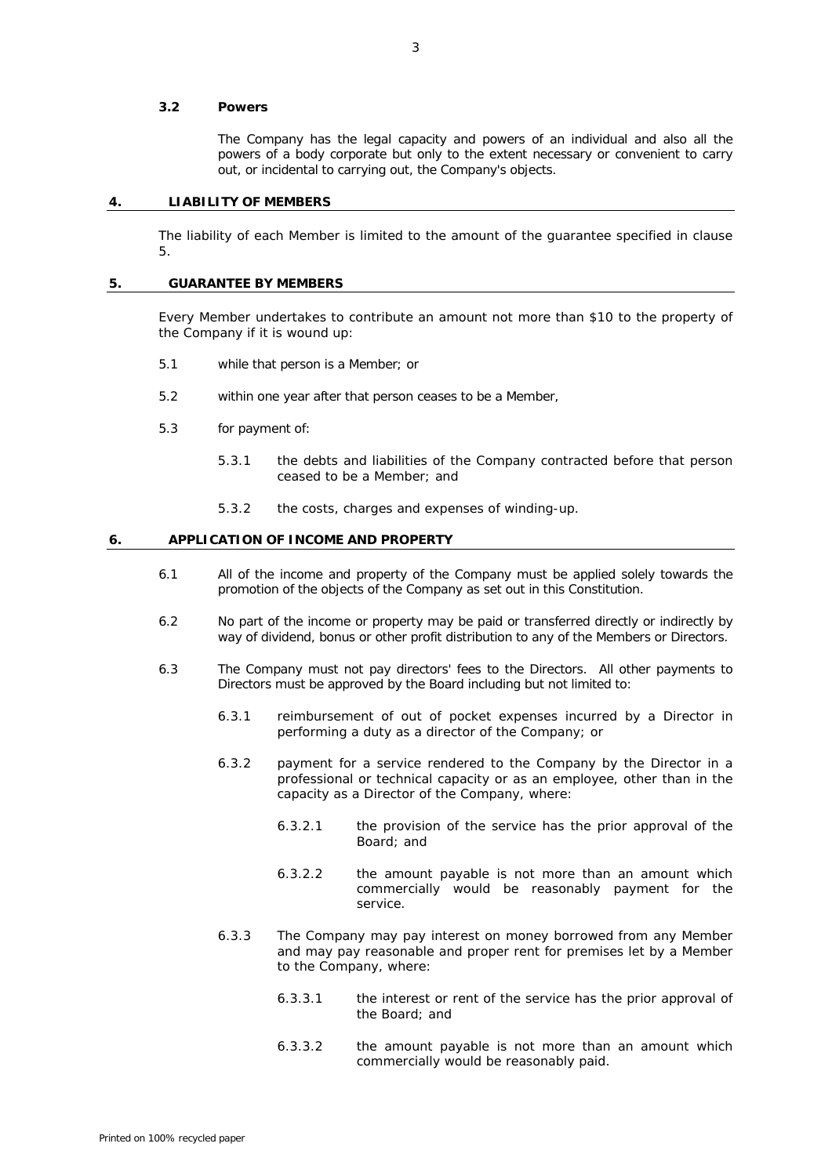### **3.2 Powers**

The Company has the legal capacity and powers of an individual and also all the powers of a body corporate but only to the extent necessary or convenient to carry out, or incidental to carrying out, the Company's objects.

# **4. LIABILITY OF MEMBERS**

The liability of each Member is limited to the amount of the guarantee specified in clause [5.](#page-6-0)

# <span id="page-6-0"></span>**5. GUARANTEE BY MEMBERS**

Every Member undertakes to contribute an amount not more than \$10 to the property of the Company if it is wound up:

- 5.1 while that person is a Member; or
- 5.2 within one year after that person ceases to be a Member,
- 5.3 for payment of:
	- 5.3.1 the debts and liabilities of the Company contracted before that person ceased to be a Member; and
	- 5.3.2 the costs, charges and expenses of winding-up.

#### <span id="page-6-1"></span>**6. APPLICATION OF INCOME AND PROPERTY**

- 6.1 All of the income and property of the Company must be applied solely towards the promotion of the objects of the Company as set out in this Constitution.
- 6.2 No part of the income or property may be paid or transferred directly or indirectly by way of dividend, bonus or other profit distribution to any of the Members or Directors.
- 6.3 The Company must not pay directors' fees to the Directors. All other payments to Directors must be approved by the Board including but not limited to:
	- 6.3.1 reimbursement of out of pocket expenses incurred by a Director in performing a duty as a director of the Company; or
	- 6.3.2 payment for a service rendered to the Company by the Director in a professional or technical capacity or as an employee, other than in the capacity as a Director of the Company, where:
		- 6.3.2.1 the provision of the service has the prior approval of the Board; and
		- 6.3.2.2 the amount payable is not more than an amount which commercially would be reasonably payment for the service.
	- 6.3.3 The Company may pay interest on money borrowed from any Member and may pay reasonable and proper rent for premises let by a Member to the Company, where:
		- 6.3.3.1 the interest or rent of the service has the prior approval of the Board; and
		- 6.3.3.2 the amount payable is not more than an amount which commercially would be reasonably paid.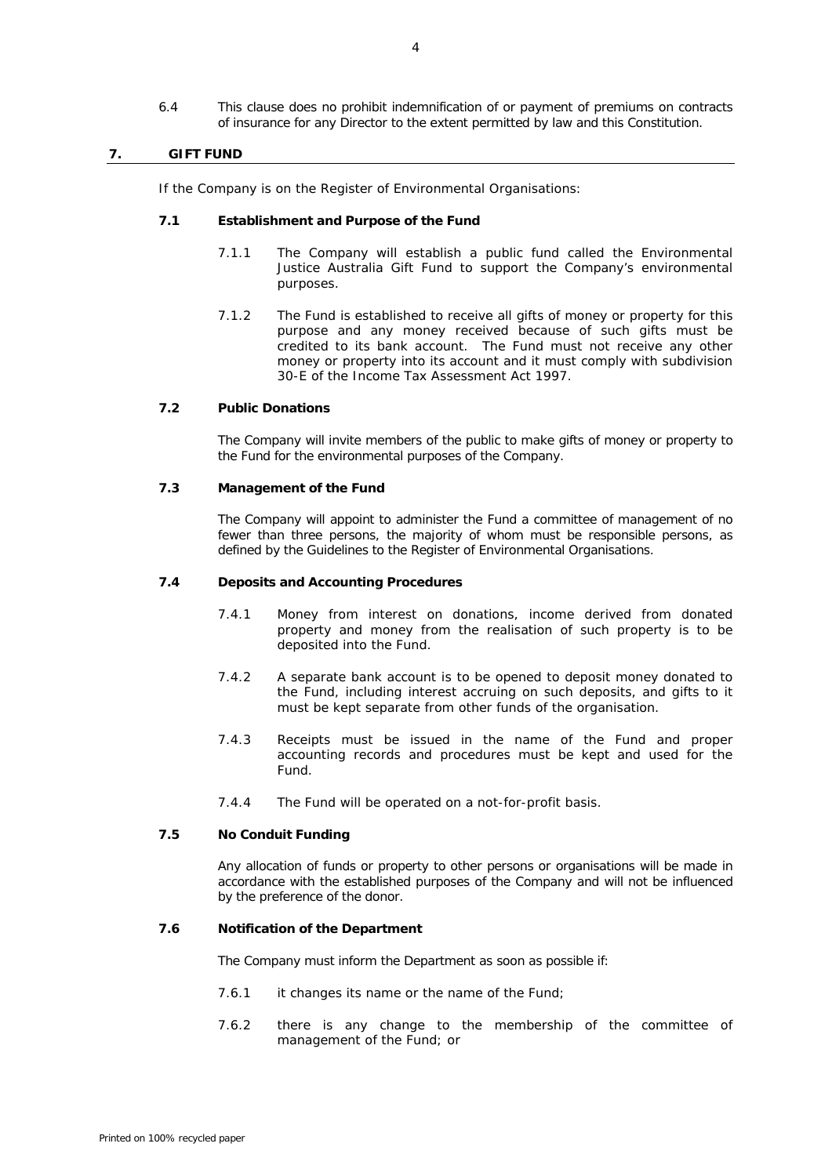6.4 This clause does no prohibit indemnification of or payment of premiums on contracts of insurance for any Director to the extent permitted by law and this Constitution.

# **7. GIFT FUND**

If the Company is on the Register of Environmental Organisations:

# <span id="page-7-0"></span>**7.1 Establishment and Purpose of the Fund**

- 7.1.1 The Company will establish a public fund called the Environmental Justice Australia Gift Fund to support the Company's environmental purposes.
- 7.1.2 The Fund is established to receive all gifts of money or property for this purpose and any money received because of such gifts must be credited to its bank account. The Fund must not receive any other money or property into its account and it must comply with subdivision 30-E of the *Income Tax Assessment Act* 1997.

# **7.2 Public Donations**

The Company will invite members of the public to make gifts of money or property to the Fund for the environmental purposes of the Company.

# **7.3 Management of the Fund**

The Company will appoint to administer the Fund a committee of management of no fewer than three persons, the majority of whom must be responsible persons, as defined by the Guidelines to the Register of Environmental Organisations.

### **7.4 Deposits and Accounting Procedures**

- 7.4.1 Money from interest on donations, income derived from donated property and money from the realisation of such property is to be deposited into the Fund.
- 7.4.2 A separate bank account is to be opened to deposit money donated to the Fund, including interest accruing on such deposits, and gifts to it must be kept separate from other funds of the organisation.
- 7.4.3 Receipts must be issued in the name of the Fund and proper accounting records and procedures must be kept and used for the Fund.
- 7.4.4 The Fund will be operated on a not-for-profit basis.

# **7.5 No Conduit Funding**

Any allocation of funds or property to other persons or organisations will be made in accordance with the established purposes of the Company and will not be influenced by the preference of the donor.

# **7.6 Notification of the Department**

The Company must inform the Department as soon as possible if:

- 7.6.1 it changes its name or the name of the Fund;
- 7.6.2 there is any change to the membership of the committee of management of the Fund; or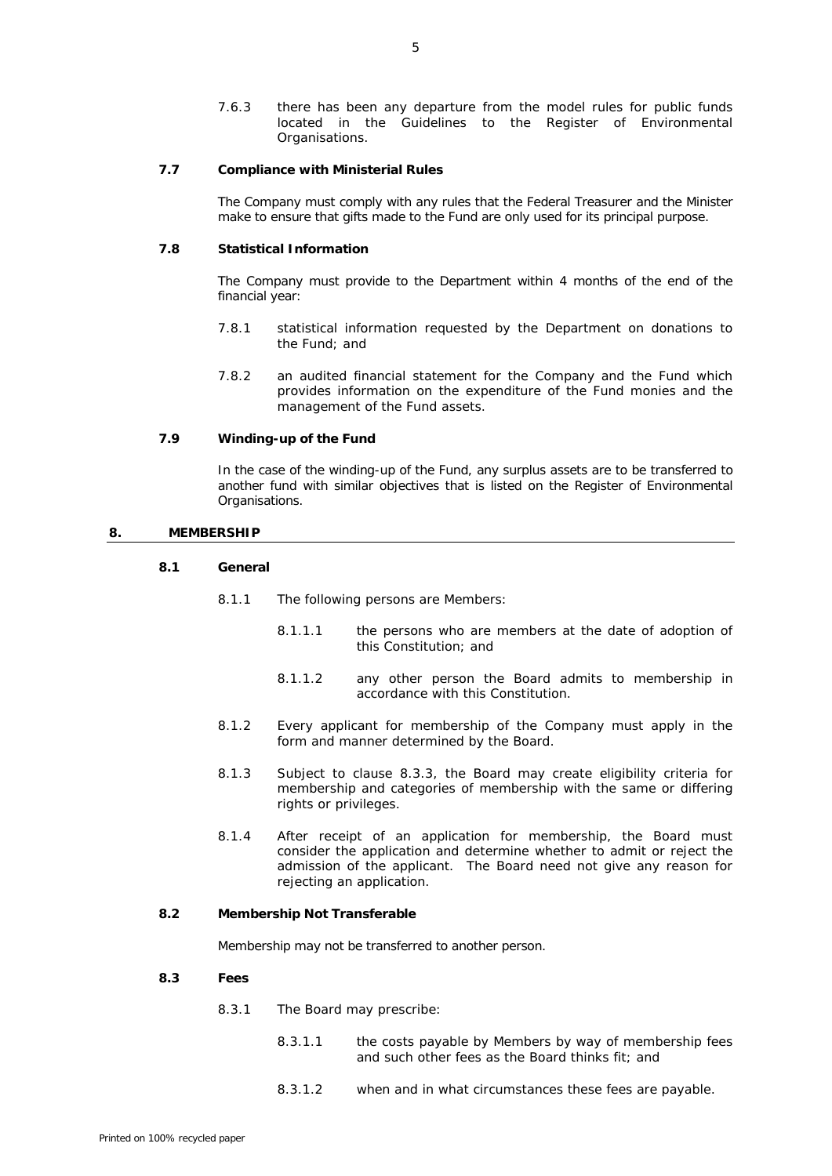7.6.3 there has been any departure from the model rules for public funds located in the Guidelines to the Register of Environmental Organisations.

# **7.7 Compliance with Ministerial Rules**

The Company must comply with any rules that the Federal Treasurer and the Minister make to ensure that gifts made to the Fund are only used for its principal purpose.

# **7.8 Statistical Information**

The Company must provide to the Department within 4 months of the end of the financial year:

- 7.8.1 statistical information requested by the Department on donations to the Fund; and
- 7.8.2 an audited financial statement for the Company and the Fund which provides information on the expenditure of the Fund monies and the management of the Fund assets.

# **7.9 Winding-up of the Fund**

In the case of the winding-up of the Fund, any surplus assets are to be transferred to another fund with similar objectives that is listed on the Register of Environmental Organisations.

### **8. MEMBERSHIP**

# **8.1 General**

- 8.1.1 The following persons are Members:
	- 8.1.1.1 the persons who are members at the date of adoption of this Constitution; and
	- 8.1.1.2 any other person the Board admits to membership in accordance with this Constitution.
- 8.1.2 Every applicant for membership of the Company must apply in the form and manner determined by the Board.
- 8.1.3 Subject to clause [8.3.3,](#page-9-1) the Board may create eligibility criteria for membership and categories of membership with the same or differing rights or privileges.
- 8.1.4 After receipt of an application for membership, the Board must consider the application and determine whether to admit or reject the admission of the applicant. The Board need not give any reason for rejecting an application.

# **8.2 Membership Not Transferable**

Membership may not be transferred to another person.

## <span id="page-8-0"></span>**8.3 Fees**

- 8.3.1 The Board may prescribe:
	- 8.3.1.1 the costs payable by Members by way of membership fees and such other fees as the Board thinks fit; and
	- 8.3.1.2 when and in what circumstances these fees are payable.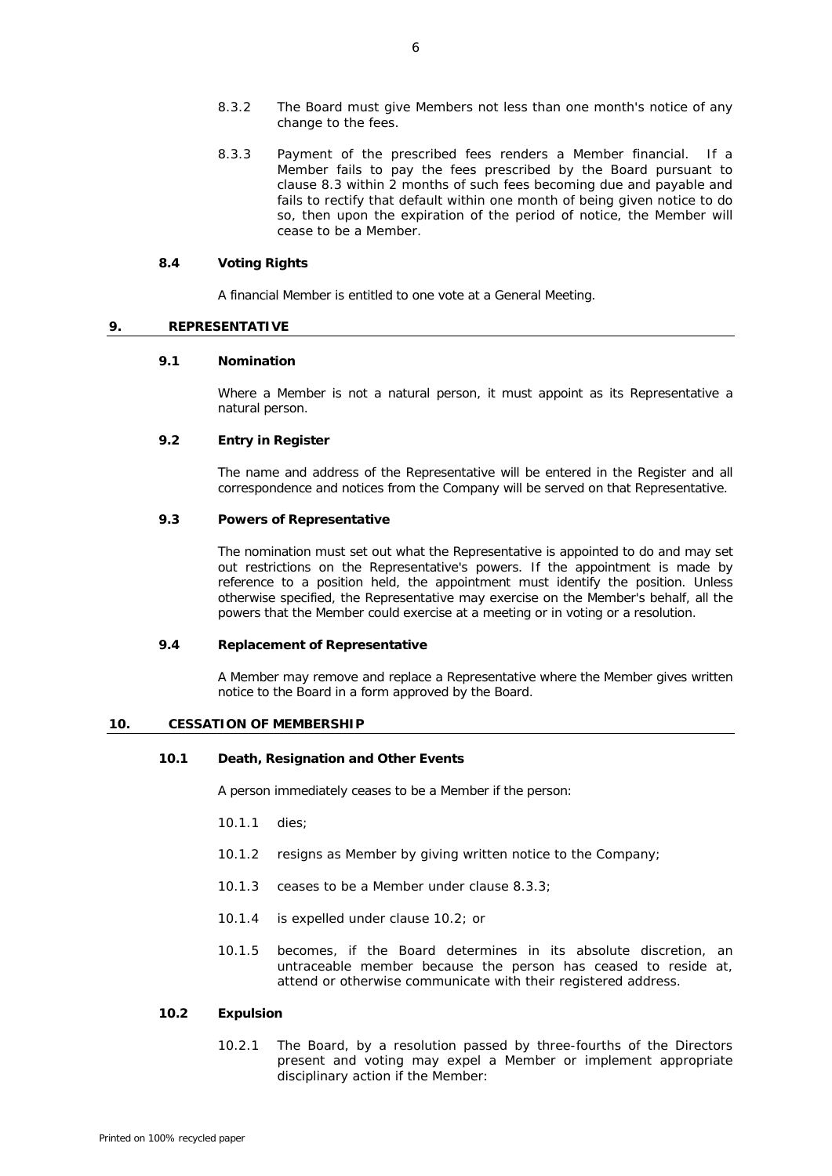- 8.3.2 The Board must give Members not less than one month's notice of any change to the fees.
- <span id="page-9-2"></span>8.3.3 Payment of the prescribed fees renders a Member financial. If a Member fails to pay the fees prescribed by the Board pursuant to clause [8.3](#page-8-0) within 2 months of such fees becoming due and payable and fails to rectify that default within one month of being given notice to do so, then upon the expiration of the period of notice, the Member will cease to be a Member.

#### **8.4 Voting Rights**

<span id="page-9-1"></span>A financial Member is entitled to one vote at a General Meeting.

# <span id="page-9-0"></span>**9. REPRESENTATIVE**

# **9.1 Nomination**

Where a Member is not a natural person, it must appoint as its Representative a natural person.

# **9.2 Entry in Register**

The name and address of the Representative will be entered in the Register and all correspondence and notices from the Company will be served on that Representative.

# **9.3 Powers of Representative**

The nomination must set out what the Representative is appointed to do and may set out restrictions on the Representative's powers. If the appointment is made by reference to a position held, the appointment must identify the position. Unless otherwise specified, the Representative may exercise on the Member's behalf, all the powers that the Member could exercise at a meeting or in voting or a resolution.

### **9.4 Replacement of Representative**

A Member may remove and replace a Representative where the Member gives written notice to the Board in a form approved by the Board.

#### **10. CESSATION OF MEMBERSHIP**

# **10.1 Death, Resignation and Other Events**

A person immediately ceases to be a Member if the person:

- 10.1.1 dies;
- 10.1.2 resigns as Member by giving written notice to the Company;
- 10.1.3 ceases to be a Member under clause [8.3.3;](#page-9-2)
- 10.1.4 is expelled under clause [10.2;](#page-9-3) or
- 10.1.5 becomes, if the Board determines in its absolute discretion, an untraceable member because the person has ceased to reside at, attend or otherwise communicate with their registered address.

## <span id="page-9-4"></span><span id="page-9-3"></span>**10.2 Expulsion**

10.2.1 The Board, by a resolution passed by three-fourths of the Directors present and voting may expel a Member or implement appropriate disciplinary action if the Member: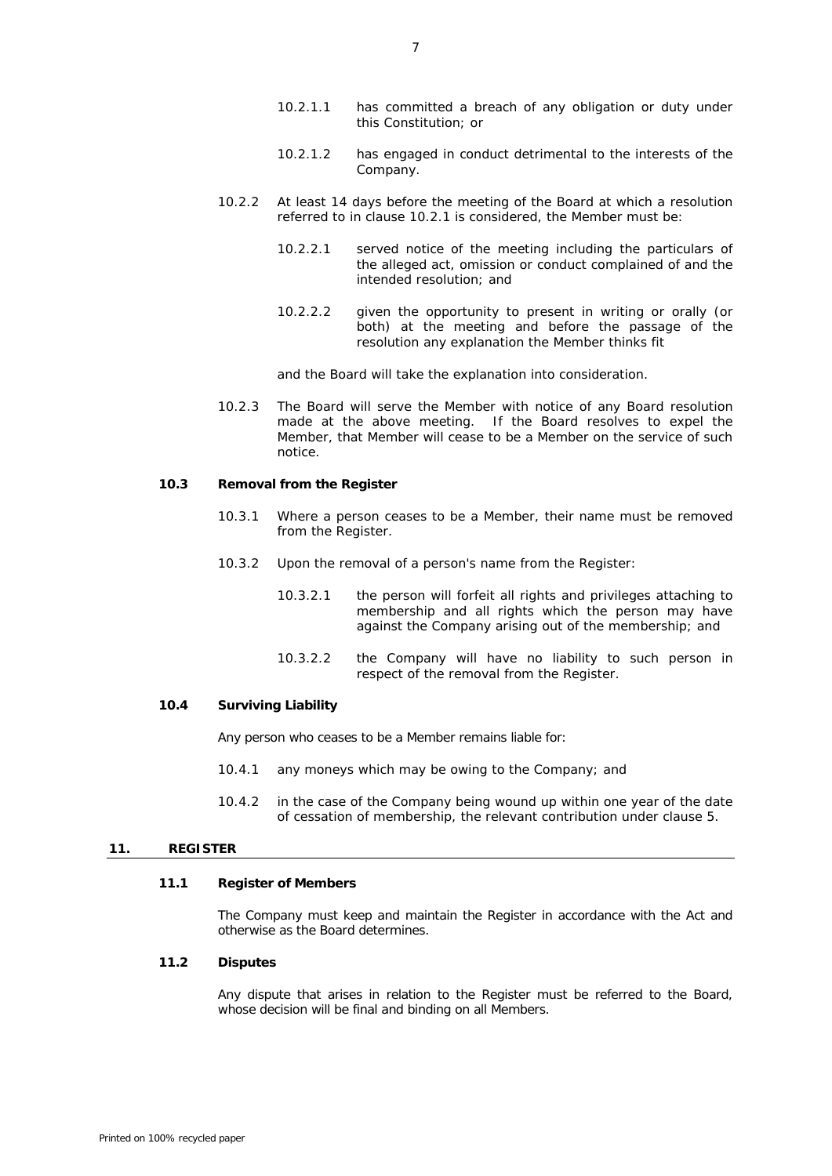- 10.2.1.1 has committed a breach of any obligation or duty under this Constitution; or
- 10.2.1.2 has engaged in conduct detrimental to the interests of the Company.
- 10.2.2 At least 14 days before the meeting of the Board at which a resolution referred to in clause [10.2.1](#page-9-4) is considered, the Member must be:
	- 10.2.2.1 served notice of the meeting including the particulars of the alleged act, omission or conduct complained of and the intended resolution; and
	- 10.2.2.2 given the opportunity to present in writing or orally (or both) at the meeting and before the passage of the resolution any explanation the Member thinks fit

and the Board will take the explanation into consideration.

10.2.3 The Board will serve the Member with notice of any Board resolution made at the above meeting. If the Board resolves to expel the Member, that Member will cease to be a Member on the service of such notice.

# **10.3 Removal from the Register**

- 10.3.1 Where a person ceases to be a Member, their name must be removed from the Register.
- 10.3.2 Upon the removal of a person's name from the Register:
	- 10.3.2.1 the person will forfeit all rights and privileges attaching to membership and all rights which the person may have against the Company arising out of the membership; and
	- 10.3.2.2 the Company will have no liability to such person in respect of the removal from the Register.

# **10.4 Surviving Liability**

Any person who ceases to be a Member remains liable for:

- 10.4.1 any moneys which may be owing to the Company; and
- 10.4.2 in the case of the Company being wound up within one year of the date of cessation of membership, the relevant contribution under clause [5.](#page-6-0)

# **11. REGISTER**

# **11.1 Register of Members**

The Company must keep and maintain the Register in accordance with the Act and otherwise as the Board determines.

# **11.2 Disputes**

Any dispute that arises in relation to the Register must be referred to the Board, whose decision will be final and binding on all Members.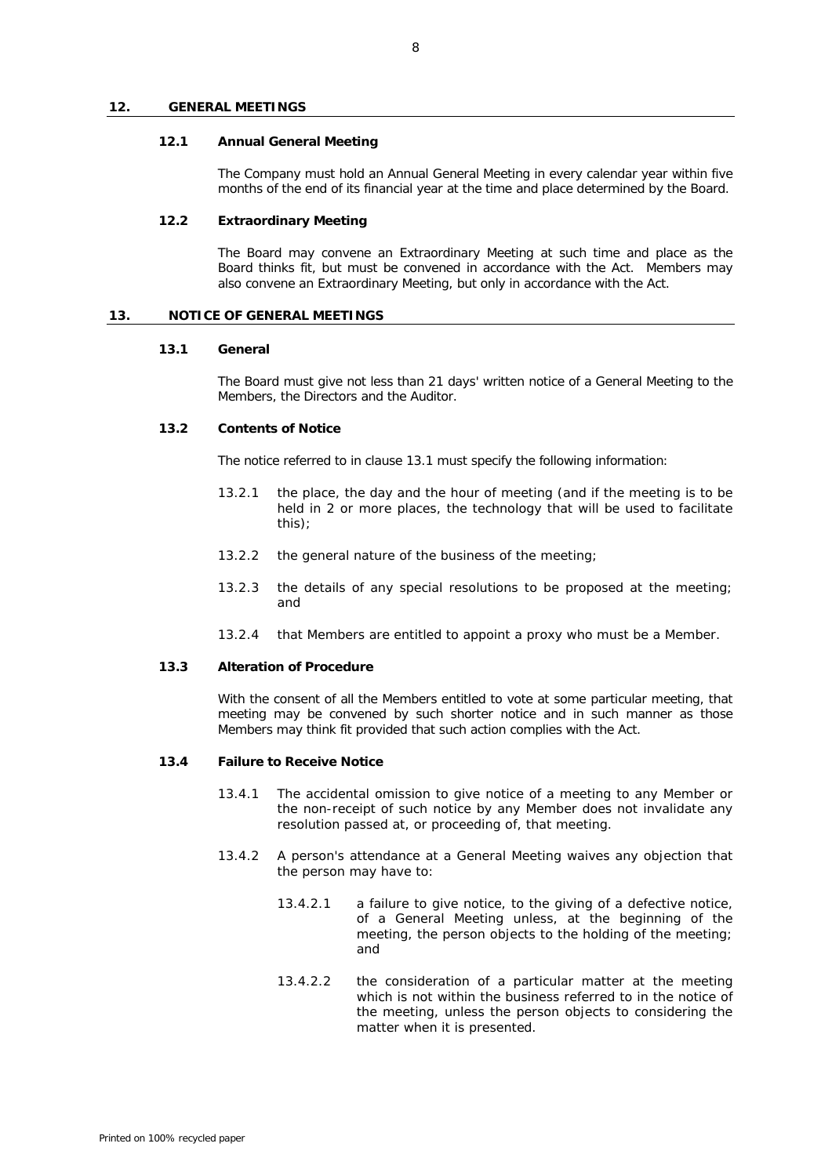#### **12. GENERAL MEETINGS**

### **12.1 Annual General Meeting**

The Company must hold an Annual General Meeting in every calendar year within five months of the end of its financial year at the time and place determined by the Board.

# **12.2 Extraordinary Meeting**

The Board may convene an Extraordinary Meeting at such time and place as the Board thinks fit, but must be convened in accordance with the Act. Members may also convene an Extraordinary Meeting, but only in accordance with the Act.

# <span id="page-11-0"></span>**13. NOTICE OF GENERAL MEETINGS**

### **13.1 General**

The Board must give not less than 21 days' written notice of a General Meeting to the Members, the Directors and the Auditor.

### **13.2 Contents of Notice**

The notice referred to in claus[e 13.1](#page-11-0) must specify the following information:

- 13.2.1 the place, the day and the hour of meeting (and if the meeting is to be held in 2 or more places, the technology that will be used to facilitate this);
- 13.2.2 the general nature of the business of the meeting;
- 13.2.3 the details of any special resolutions to be proposed at the meeting; and
- 13.2.4 that Members are entitled to appoint a proxy who must be a Member.

# **13.3 Alteration of Procedure**

With the consent of all the Members entitled to vote at some particular meeting, that meeting may be convened by such shorter notice and in such manner as those Members may think fit provided that such action complies with the Act.

# **13.4 Failure to Receive Notice**

- 13.4.1 The accidental omission to give notice of a meeting to any Member or the non-receipt of such notice by any Member does not invalidate any resolution passed at, or proceeding of, that meeting.
- 13.4.2 A person's attendance at a General Meeting waives any objection that the person may have to:
	- 13.4.2.1 a failure to give notice, to the giving of a defective notice, of a General Meeting unless, at the beginning of the meeting, the person objects to the holding of the meeting; and
	- 13.4.2.2 the consideration of a particular matter at the meeting which is not within the business referred to in the notice of the meeting, unless the person objects to considering the matter when it is presented.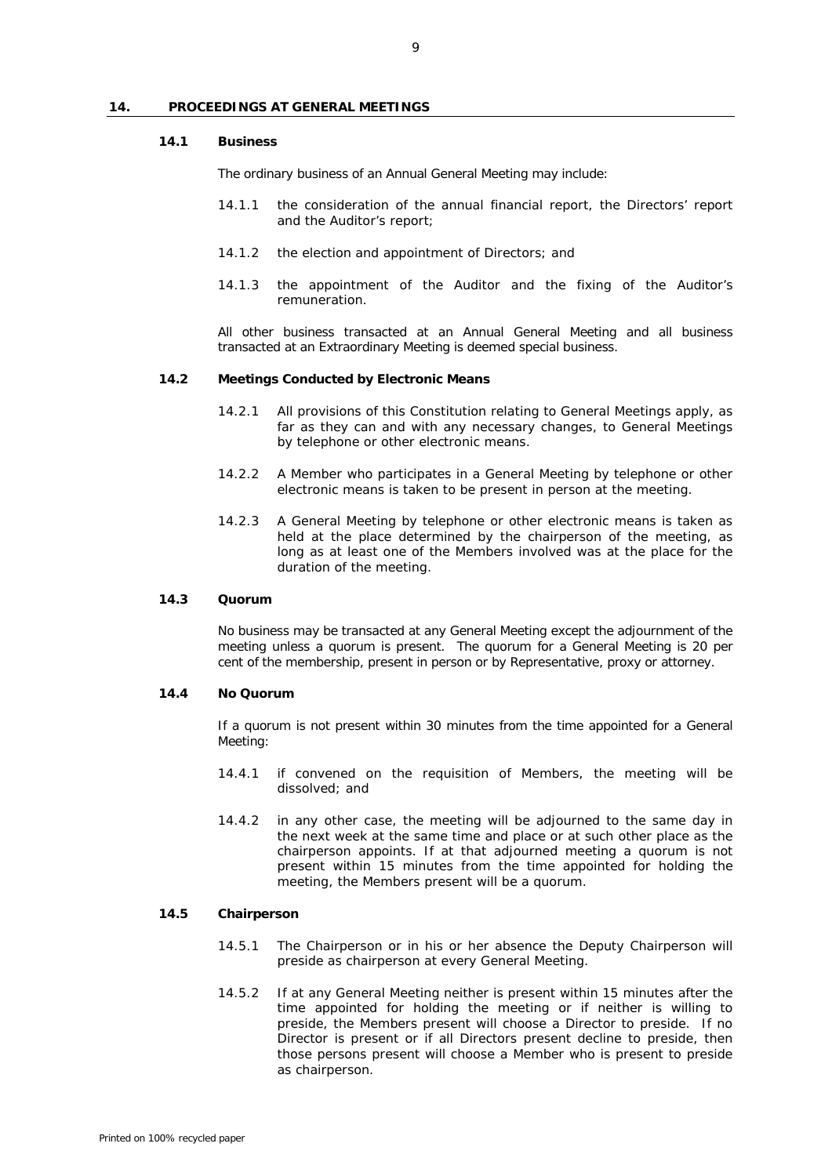# **14. PROCEEDINGS AT GENERAL MEETINGS**

#### **14.1 Business**

The ordinary business of an Annual General Meeting may include:

- 14.1.1 the consideration of the annual financial report, the Directors' report and the Auditor's report;
- 14.1.2 the election and appointment of Directors; and
- 14.1.3 the appointment of the Auditor and the fixing of the Auditor's remuneration.

All other business transacted at an Annual General Meeting and all business transacted at an Extraordinary Meeting is deemed special business.

#### **14.2 Meetings Conducted by Electronic Means**

- 14.2.1 All provisions of this Constitution relating to General Meetings apply, as far as they can and with any necessary changes, to General Meetings by telephone or other electronic means.
- 14.2.2 A Member who participates in a General Meeting by telephone or other electronic means is taken to be present in person at the meeting.
- 14.2.3 A General Meeting by telephone or other electronic means is taken as held at the place determined by the chairperson of the meeting, as long as at least one of the Members involved was at the place for the duration of the meeting.

#### **14.3 Quorum**

No business may be transacted at any General Meeting except the adjournment of the meeting unless a quorum is present. The quorum for a General Meeting is 20 per cent of the membership, present in person or by Representative, proxy or attorney.

# **14.4 No Quorum**

If a quorum is not present within 30 minutes from the time appointed for a General Meeting:

- 14.4.1 if convened on the requisition of Members, the meeting will be dissolved; and
- 14.4.2 in any other case, the meeting will be adjourned to the same day in the next week at the same time and place or at such other place as the chairperson appoints. If at that adjourned meeting a quorum is not present within 15 minutes from the time appointed for holding the meeting, the Members present will be a quorum.

# **14.5 Chairperson**

- 14.5.1 The Chairperson or in his or her absence the Deputy Chairperson will preside as chairperson at every General Meeting.
- 14.5.2 If at any General Meeting neither is present within 15 minutes after the time appointed for holding the meeting or if neither is willing to preside, the Members present will choose a Director to preside. If no Director is present or if all Directors present decline to preside, then those persons present will choose a Member who is present to preside as chairperson.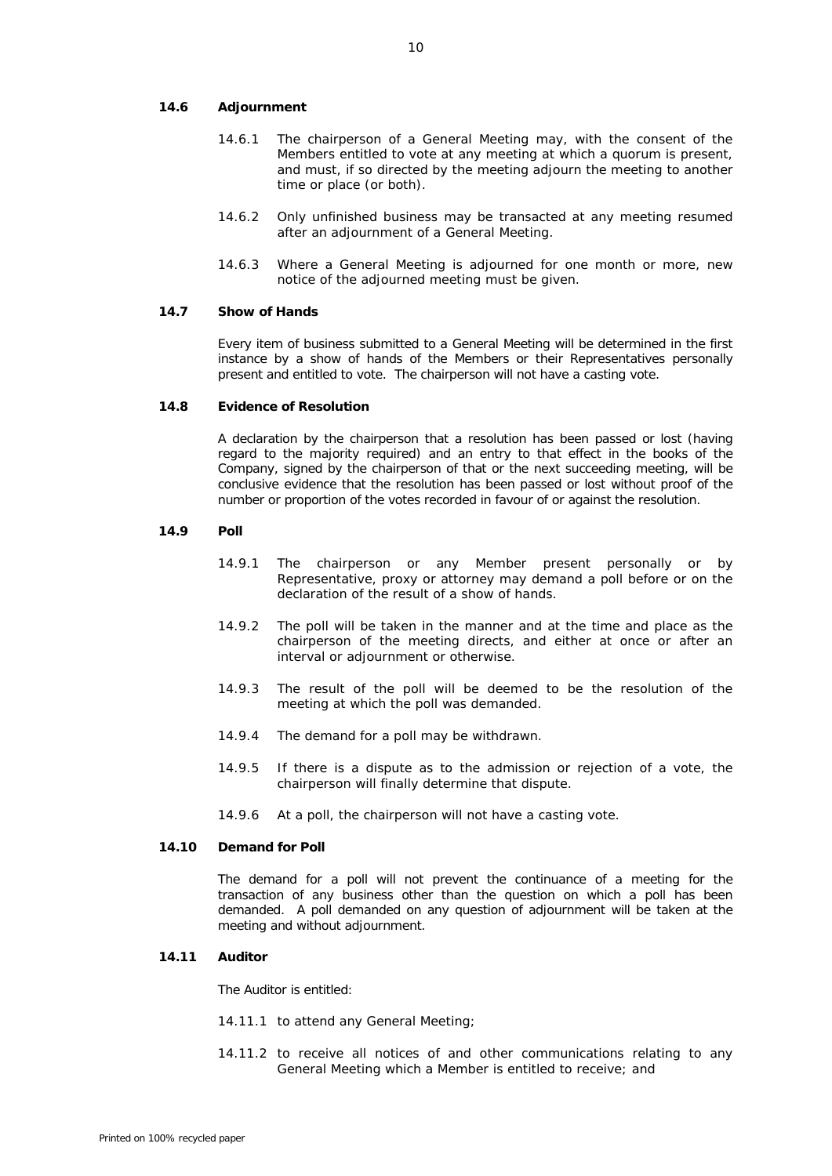# **14.6 Adjournment**

- 14.6.1 The chairperson of a General Meeting may, with the consent of the Members entitled to vote at any meeting at which a quorum is present, and must, if so directed by the meeting adjourn the meeting to another time or place (or both).
- 14.6.2 Only unfinished business may be transacted at any meeting resumed after an adjournment of a General Meeting.
- 14.6.3 Where a General Meeting is adjourned for one month or more, new notice of the adjourned meeting must be given.

# **14.7 Show of Hands**

Every item of business submitted to a General Meeting will be determined in the first instance by a show of hands of the Members or their Representatives personally present and entitled to vote. The chairperson will not have a casting vote.

# **14.8 Evidence of Resolution**

A declaration by the chairperson that a resolution has been passed or lost (having regard to the majority required) and an entry to that effect in the books of the Company, signed by the chairperson of that or the next succeeding meeting, will be conclusive evidence that the resolution has been passed or lost without proof of the number or proportion of the votes recorded in favour of or against the resolution.

# **14.9 Poll**

- 14.9.1 The chairperson or any Member present personally or by Representative, proxy or attorney may demand a poll before or on the declaration of the result of a show of hands.
- 14.9.2 The poll will be taken in the manner and at the time and place as the chairperson of the meeting directs, and either at once or after an interval or adjournment or otherwise.
- 14.9.3 The result of the poll will be deemed to be the resolution of the meeting at which the poll was demanded.
- 14.9.4 The demand for a poll may be withdrawn.
- 14.9.5 If there is a dispute as to the admission or rejection of a vote, the chairperson will finally determine that dispute.
- 14.9.6 At a poll, the chairperson will not have a casting vote.

# **14.10 Demand for Poll**

The demand for a poll will not prevent the continuance of a meeting for the transaction of any business other than the question on which a poll has been demanded. A poll demanded on any question of adjournment will be taken at the meeting and without adjournment.

# **14.11 Auditor**

The Auditor is entitled:

- 14.11.1 to attend any General Meeting;
- 14.11.2 to receive all notices of and other communications relating to any General Meeting which a Member is entitled to receive; and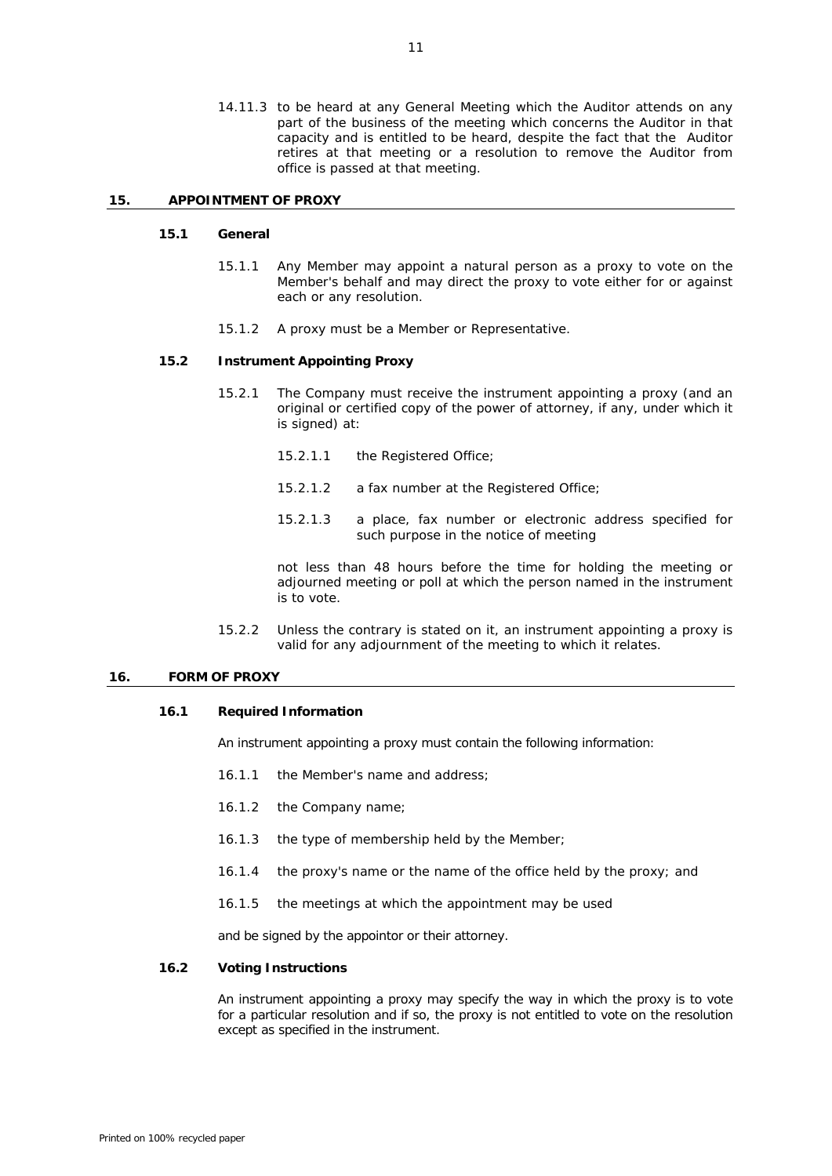14.11.3 to be heard at any General Meeting which the Auditor attends on any part of the business of the meeting which concerns the Auditor in that capacity and is entitled to be heard, despite the fact that the Auditor retires at that meeting or a resolution to remove the Auditor from office is passed at that meeting.

### **15. APPOINTMENT OF PROXY**

#### **15.1 General**

- 15.1.1 Any Member may appoint a natural person as a proxy to vote on the Member's behalf and may direct the proxy to vote either for or against each or any resolution.
- 15.1.2 A proxy must be a Member or Representative.

# **15.2 Instrument Appointing Proxy**

- 15.2.1 The Company must receive the instrument appointing a proxy (and an original or certified copy of the power of attorney, if any, under which it is signed) at:
	- 15.2.1.1 the Registered Office;
	- 15.2.1.2 a fax number at the Registered Office;
	- 15.2.1.3 a place, fax number or electronic address specified for such purpose in the notice of meeting

not less than 48 hours before the time for holding the meeting or adjourned meeting or poll at which the person named in the instrument is to vote.

15.2.2 Unless the contrary is stated on it, an instrument appointing a proxy is valid for any adjournment of the meeting to which it relates.

#### **16. FORM OF PROXY**

# **16.1 Required Information**

An instrument appointing a proxy must contain the following information:

- 16.1.1 the Member's name and address;
- 16.1.2 the Company name;
- 16.1.3 the type of membership held by the Member;
- 16.1.4 the proxy's name or the name of the office held by the proxy; and
- 16.1.5 the meetings at which the appointment may be used

and be signed by the appointor or their attorney.

#### **16.2 Voting Instructions**

An instrument appointing a proxy may specify the way in which the proxy is to vote for a particular resolution and if so, the proxy is not entitled to vote on the resolution except as specified in the instrument.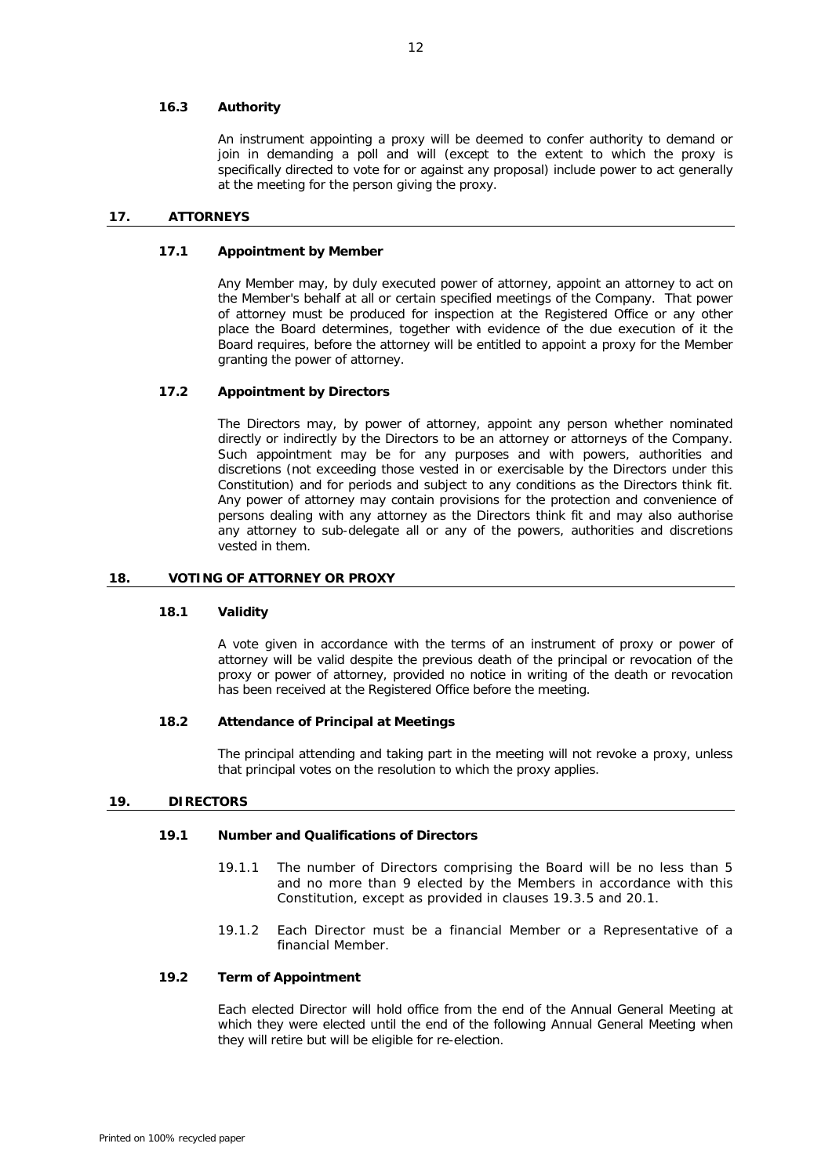# **16.3 Authority**

An instrument appointing a proxy will be deemed to confer authority to demand or join in demanding a poll and will (except to the extent to which the proxy is specifically directed to vote for or against any proposal) include power to act generally at the meeting for the person giving the proxy.

# **17. ATTORNEYS**

# **17.1 Appointment by Member**

Any Member may, by duly executed power of attorney, appoint an attorney to act on the Member's behalf at all or certain specified meetings of the Company. That power of attorney must be produced for inspection at the Registered Office or any other place the Board determines, together with evidence of the due execution of it the Board requires, before the attorney will be entitled to appoint a proxy for the Member granting the power of attorney.

# **17.2 Appointment by Directors**

The Directors may, by power of attorney, appoint any person whether nominated directly or indirectly by the Directors to be an attorney or attorneys of the Company. Such appointment may be for any purposes and with powers, authorities and discretions (not exceeding those vested in or exercisable by the Directors under this Constitution) and for periods and subject to any conditions as the Directors think fit. Any power of attorney may contain provisions for the protection and convenience of persons dealing with any attorney as the Directors think fit and may also authorise any attorney to sub-delegate all or any of the powers, authorities and discretions vested in them.

### **18. VOTING OF ATTORNEY OR PROXY**

### **18.1 Validity**

A vote given in accordance with the terms of an instrument of proxy or power of attorney will be valid despite the previous death of the principal or revocation of the proxy or power of attorney, provided no notice in writing of the death or revocation has been received at the Registered Office before the meeting.

### **18.2 Attendance of Principal at Meetings**

The principal attending and taking part in the meeting will not revoke a proxy, unless that principal votes on the resolution to which the proxy applies.

# **19. DIRECTORS**

# **19.1 Number and Qualifications of Directors**

- 19.1.1 The number of Directors comprising the Board will be no less than 5 and no more than 9 elected by the Members in accordance with this Constitution, except as provided in clauses [19.3.5](#page-16-1) and [20.1.](#page-16-2)
- 19.1.2 Each Director must be a financial Member or a Representative of a financial Member.

# **19.2 Term of Appointment**

Each elected Director will hold office from the end of the Annual General Meeting at which they were elected until the end of the following Annual General Meeting when they will retire but will be eligible for re-election.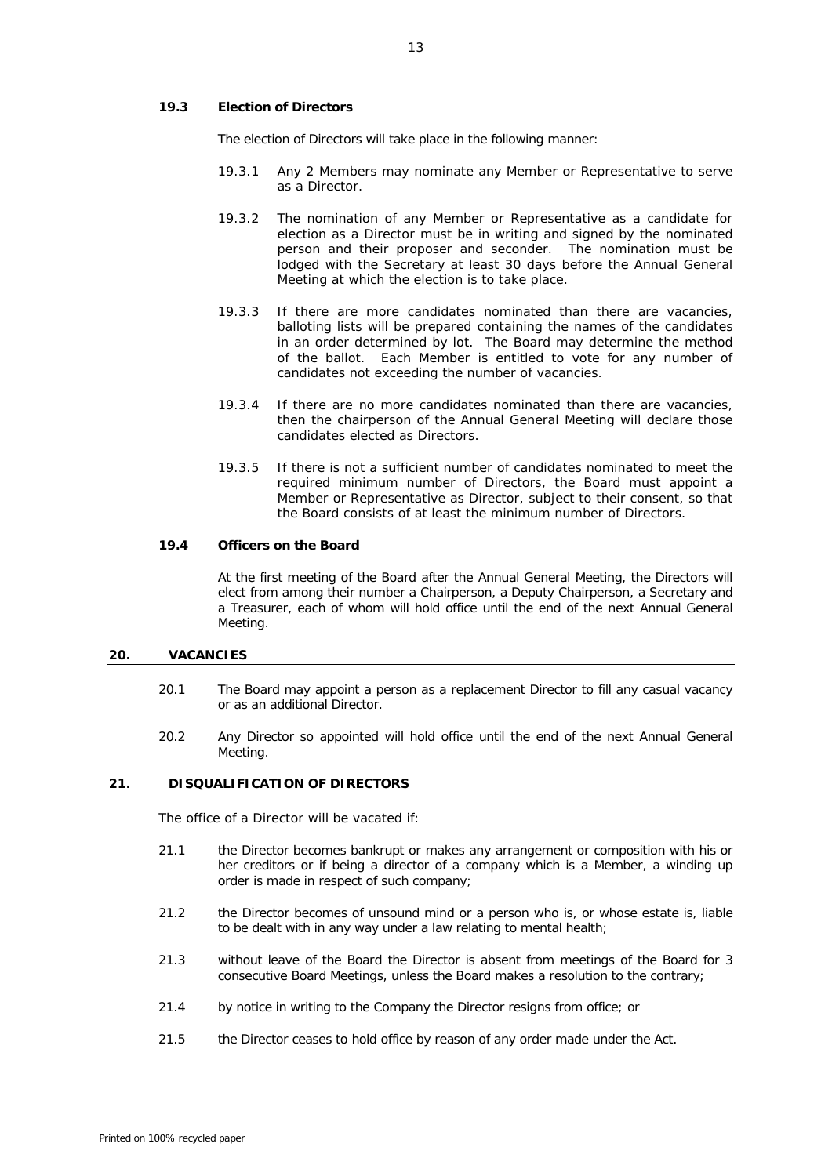## **19.3 Election of Directors**

The election of Directors will take place in the following manner:

- 19.3.1 Any 2 Members may nominate any Member or Representative to serve as a Director.
- 19.3.2 The nomination of any Member or Representative as a candidate for election as a Director must be in writing and signed by the nominated person and their proposer and seconder. The nomination must be lodged with the Secretary at least 30 days before the Annual General Meeting at which the election is to take place.
- 19.3.3 If there are more candidates nominated than there are vacancies, balloting lists will be prepared containing the names of the candidates in an order determined by lot. The Board may determine the method of the ballot. Each Member is entitled to vote for any number of candidates not exceeding the number of vacancies.
- 19.3.4 If there are no more candidates nominated than there are vacancies, then the chairperson of the Annual General Meeting will declare those candidates elected as Directors.
- 19.3.5 If there is not a sufficient number of candidates nominated to meet the required minimum number of Directors, the Board must appoint a Member or Representative as Director, subject to their consent, so that the Board consists of at least the minimum number of Directors.

# <span id="page-16-1"></span><span id="page-16-0"></span>**19.4 Officers on the Board**

At the first meeting of the Board after the Annual General Meeting, the Directors will elect from among their number a Chairperson, a Deputy Chairperson, a Secretary and a Treasurer, each of whom will hold office until the end of the next Annual General Meeting.

# <span id="page-16-2"></span>**20. VACANCIES**

- 20.1 The Board may appoint a person as a replacement Director to fill any casual vacancy or as an additional Director.
- 20.2 Any Director so appointed will hold office until the end of the next Annual General Meeting.

### **21. DISQUALIFICATION OF DIRECTORS**

The office of a Director will be vacated if:

- 21.1 the Director becomes bankrupt or makes any arrangement or composition with his or her creditors or if being a director of a company which is a Member, a winding up order is made in respect of such company;
- 21.2 the Director becomes of unsound mind or a person who is, or whose estate is, liable to be dealt with in any way under a law relating to mental health;
- 21.3 without leave of the Board the Director is absent from meetings of the Board for 3 consecutive Board Meetings, unless the Board makes a resolution to the contrary;
- 21.4 by notice in writing to the Company the Director resigns from office; or
- 21.5 the Director ceases to hold office by reason of any order made under the Act.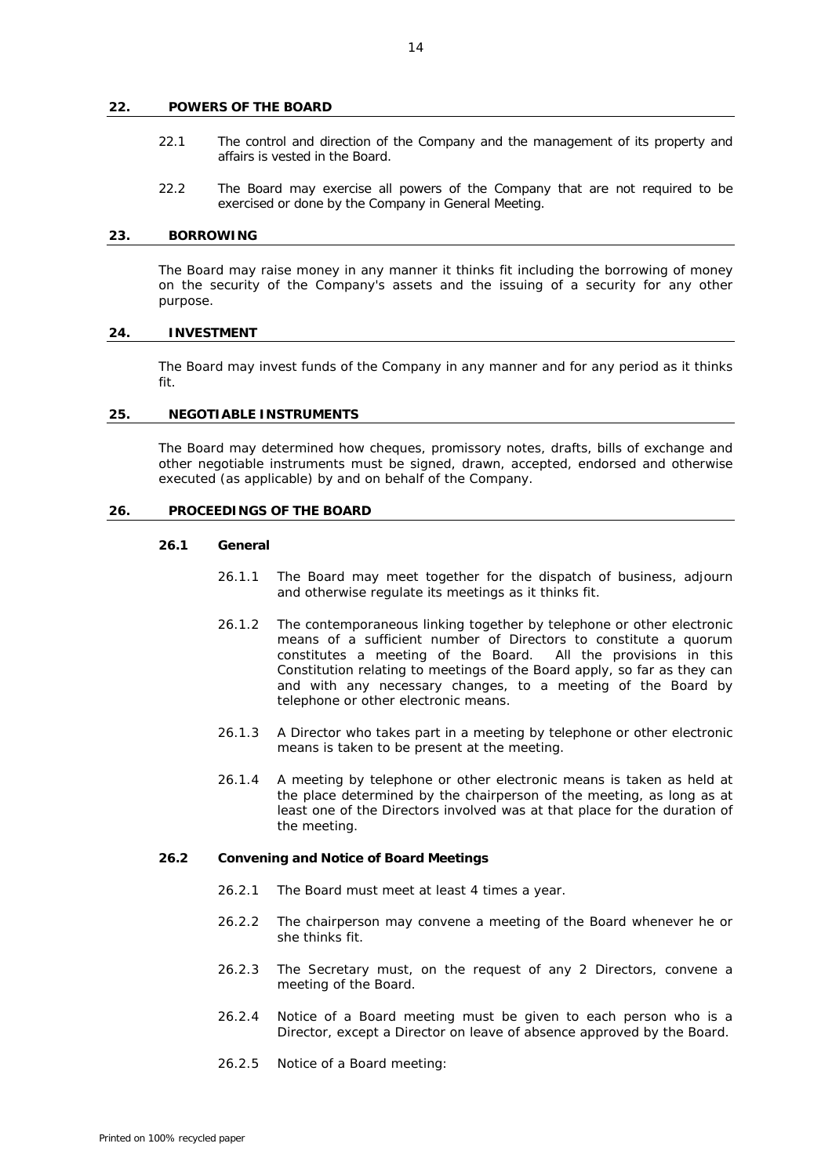#### **22. POWERS OF THE BOARD**

- 22.1 The control and direction of the Company and the management of its property and affairs is vested in the Board.
- 22.2 The Board may exercise all powers of the Company that are not required to be exercised or done by the Company in General Meeting.

#### **23. BORROWING**

The Board may raise money in any manner it thinks fit including the borrowing of money on the security of the Company's assets and the issuing of a security for any other purpose.

#### **24. INVESTMENT**

The Board may invest funds of the Company in any manner and for any period as it thinks fit.

### **25. NEGOTIABLE INSTRUMENTS**

The Board may determined how cheques, promissory notes, drafts, bills of exchange and other negotiable instruments must be signed, drawn, accepted, endorsed and otherwise executed (as applicable) by and on behalf of the Company.

# **26. PROCEEDINGS OF THE BOARD**

# **26.1 General**

- 26.1.1 The Board may meet together for the dispatch of business, adjourn and otherwise regulate its meetings as it thinks fit.
- 26.1.2 The contemporaneous linking together by telephone or other electronic means of a sufficient number of Directors to constitute a quorum constitutes a meeting of the Board. All the provisions in this Constitution relating to meetings of the Board apply, so far as they can and with any necessary changes, to a meeting of the Board by telephone or other electronic means.
- 26.1.3 A Director who takes part in a meeting by telephone or other electronic means is taken to be present at the meeting.
- 26.1.4 A meeting by telephone or other electronic means is taken as held at the place determined by the chairperson of the meeting, as long as at least one of the Directors involved was at that place for the duration of the meeting.

#### **26.2 Convening and Notice of Board Meetings**

- 26.2.1 The Board must meet at least 4 times a year.
- 26.2.2 The chairperson may convene a meeting of the Board whenever he or she thinks fit.
- 26.2.3 The Secretary must, on the request of any 2 Directors, convene a meeting of the Board.
- 26.2.4 Notice of a Board meeting must be given to each person who is a Director, except a Director on leave of absence approved by the Board.
- 26.2.5 Notice of a Board meeting: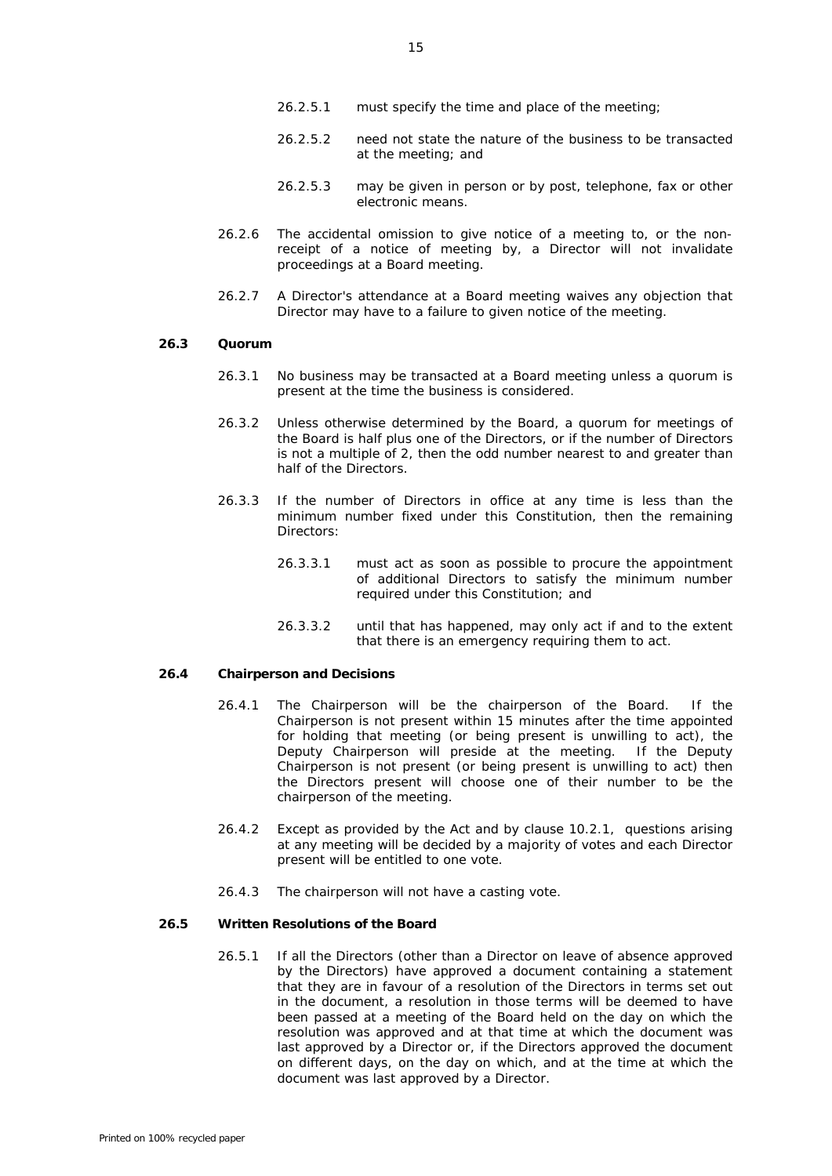- 26.2.5.2 need not state the nature of the business to be transacted at the meeting; and
- 26.2.5.3 may be given in person or by post, telephone, fax or other electronic means.
- 26.2.6 The accidental omission to give notice of a meeting to, or the nonreceipt of a notice of meeting by, a Director will not invalidate proceedings at a Board meeting.
- 26.2.7 A Director's attendance at a Board meeting waives any objection that Director may have to a failure to given notice of the meeting.

# **26.3 Quorum**

- 26.3.1 No business may be transacted at a Board meeting unless a quorum is present at the time the business is considered.
- 26.3.2 Unless otherwise determined by the Board, a quorum for meetings of the Board is half plus one of the Directors, or if the number of Directors is not a multiple of 2, then the odd number nearest to and greater than half of the Directors.
- 26.3.3 If the number of Directors in office at any time is less than the minimum number fixed under this Constitution, then the remaining Directors:
	- 26.3.3.1 must act as soon as possible to procure the appointment of additional Directors to satisfy the minimum number required under this Constitution; and
	- 26.3.3.2 until that has happened, may only act if and to the extent that there is an emergency requiring them to act.

#### **26.4 Chairperson and Decisions**

- 26.4.1 The Chairperson will be the chairperson of the Board. If the Chairperson is not present within 15 minutes after the time appointed for holding that meeting (or being present is unwilling to act), the Deputy Chairperson will preside at the meeting. If the Deputy Chairperson is not present (or being present is unwilling to act) then the Directors present will choose one of their number to be the chairperson of the meeting.
- 26.4.2 Except as provided by the Act and by clause [10.2.1,](#page-9-4) questions arising at any meeting will be decided by a majority of votes and each Director present will be entitled to one vote.
- 26.4.3 The chairperson will not have a casting vote.

# <span id="page-18-1"></span><span id="page-18-0"></span>**26.5 Written Resolutions of the Board**

26.5.1 If all the Directors (other than a Director on leave of absence approved by the Directors) have approved a document containing a statement that they are in favour of a resolution of the Directors in terms set out in the document, a resolution in those terms will be deemed to have been passed at a meeting of the Board held on the day on which the resolution was approved and at that time at which the document was last approved by a Director or, if the Directors approved the document on different days, on the day on which, and at the time at which the document was last approved by a Director.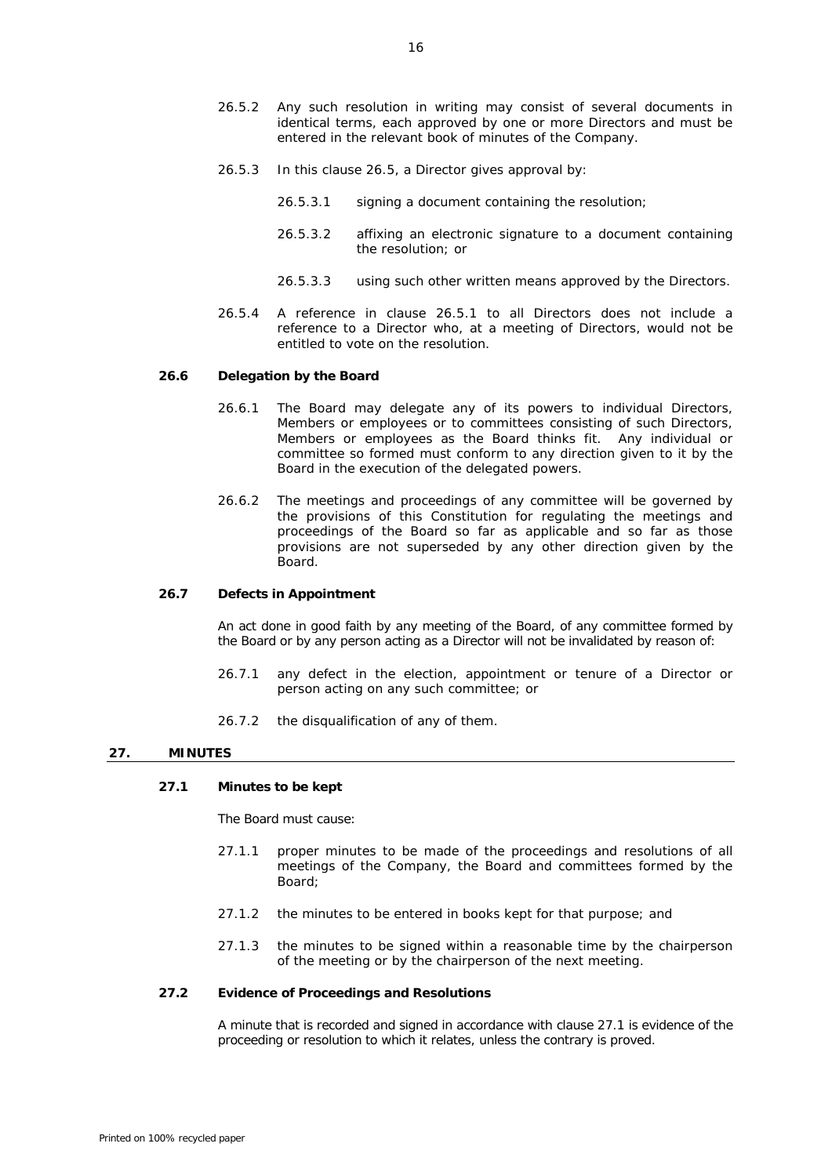- 26.5.2 Any such resolution in writing may consist of several documents in identical terms, each approved by one or more Directors and must be entered in the relevant book of minutes of the Company.
- 26.5.3 In this clause [26.5,](#page-18-0) a Director gives approval by:
	- 26.5.3.1 signing a document containing the resolution;
	- 26.5.3.2 affixing an electronic signature to a document containing the resolution; or
	- 26.5.3.3 using such other written means approved by the Directors.
- 26.5.4 A reference in clause [26.5.1](#page-18-1) to all Directors does not include a reference to a Director who, at a meeting of Directors, would not be entitled to vote on the resolution.

# **26.6 Delegation by the Board**

- 26.6.1 The Board may delegate any of its powers to individual Directors, Members or employees or to committees consisting of such Directors, Members or employees as the Board thinks fit. Any individual or committee so formed must conform to any direction given to it by the Board in the execution of the delegated powers.
- 26.6.2 The meetings and proceedings of any committee will be governed by the provisions of this Constitution for regulating the meetings and proceedings of the Board so far as applicable and so far as those provisions are not superseded by any other direction given by the .<br>Board

#### **26.7 Defects in Appointment**

An act done in good faith by any meeting of the Board, of any committee formed by the Board or by any person acting as a Director will not be invalidated by reason of:

- 26.7.1 any defect in the election, appointment or tenure of a Director or person acting on any such committee; or
- 26.7.2 the disqualification of any of them.

#### <span id="page-19-0"></span>**27. MINUTES**

#### **27.1 Minutes to be kept**

The Board must cause:

- 27.1.1 proper minutes to be made of the proceedings and resolutions of all meetings of the Company, the Board and committees formed by the Board;
- 27.1.2 the minutes to be entered in books kept for that purpose; and
- 27.1.3 the minutes to be signed within a reasonable time by the chairperson of the meeting or by the chairperson of the next meeting.

# **27.2 Evidence of Proceedings and Resolutions**

A minute that is recorded and signed in accordance with claus[e 27.1](#page-19-0) is evidence of the proceeding or resolution to which it relates, unless the contrary is proved.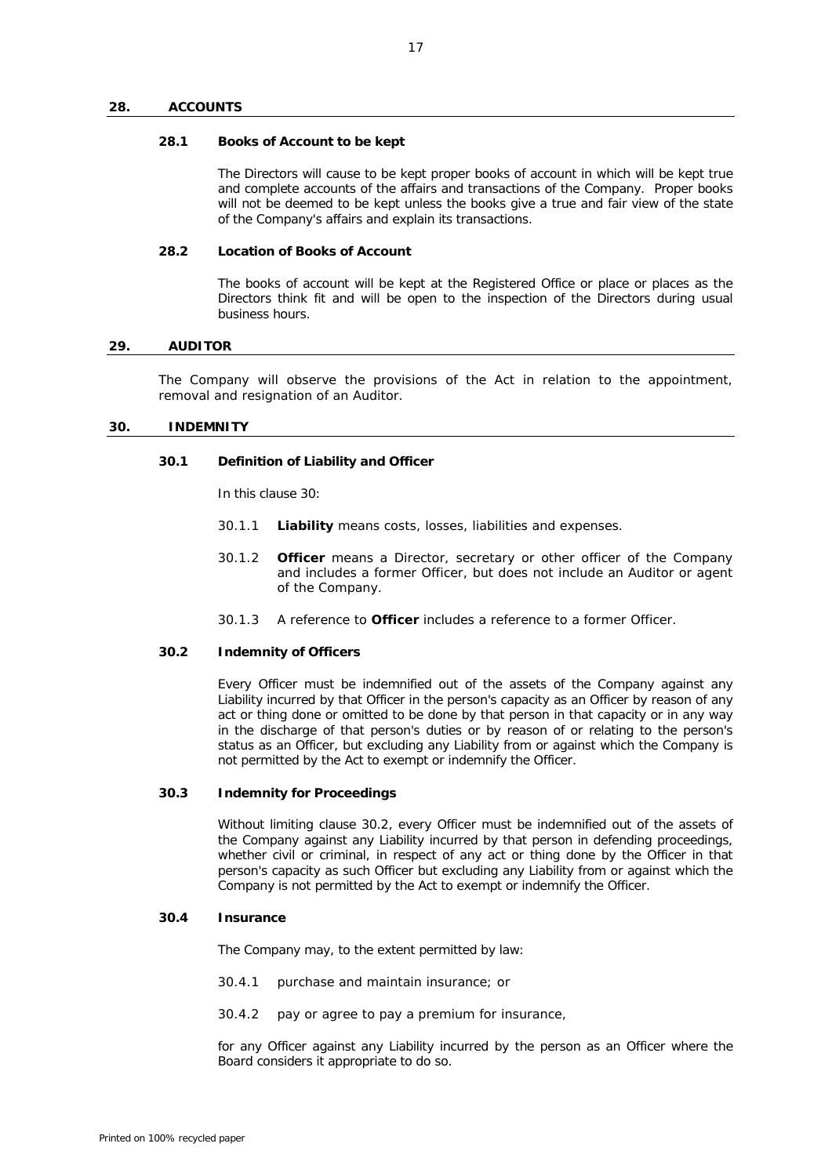#### **28. ACCOUNTS**

#### **28.1 Books of Account to be kept**

The Directors will cause to be kept proper books of account in which will be kept true and complete accounts of the affairs and transactions of the Company. Proper books will not be deemed to be kept unless the books give a true and fair view of the state of the Company's affairs and explain its transactions.

# **28.2 Location of Books of Account**

The books of account will be kept at the Registered Office or place or places as the Directors think fit and will be open to the inspection of the Directors during usual business hours.

# **29. AUDITOR**

The Company will observe the provisions of the Act in relation to the appointment, removal and resignation of an Auditor.

#### <span id="page-20-0"></span>**30. INDEMNITY**

#### **30.1 Definition of Liability and Officer**

In this clause [30:](#page-20-0)

- 30.1.1 **Liability** means costs, losses, liabilities and expenses.
- 30.1.2 **Officer** means a Director, secretary or other officer of the Company and includes a former Officer, but does not include an Auditor or agent of the Company.
- 30.1.3 A reference to **Officer** includes a reference to a former Officer.

# <span id="page-20-1"></span>**30.2 Indemnity of Officers**

Every Officer must be indemnified out of the assets of the Company against any Liability incurred by that Officer in the person's capacity as an Officer by reason of any act or thing done or omitted to be done by that person in that capacity or in any way in the discharge of that person's duties or by reason of or relating to the person's status as an Officer, but excluding any Liability from or against which the Company is not permitted by the Act to exempt or indemnify the Officer.

# **30.3 Indemnity for Proceedings**

Without limiting clause [30.2,](#page-20-1) every Officer must be indemnified out of the assets of the Company against any Liability incurred by that person in defending proceedings, whether civil or criminal, in respect of any act or thing done by the Officer in that person's capacity as such Officer but excluding any Liability from or against which the Company is not permitted by the Act to exempt or indemnify the Officer.

### **30.4 Insurance**

The Company may, to the extent permitted by law:

- 30.4.1 purchase and maintain insurance; or
- 30.4.2 pay or agree to pay a premium for insurance,

for any Officer against any Liability incurred by the person as an Officer where the Board considers it appropriate to do so.